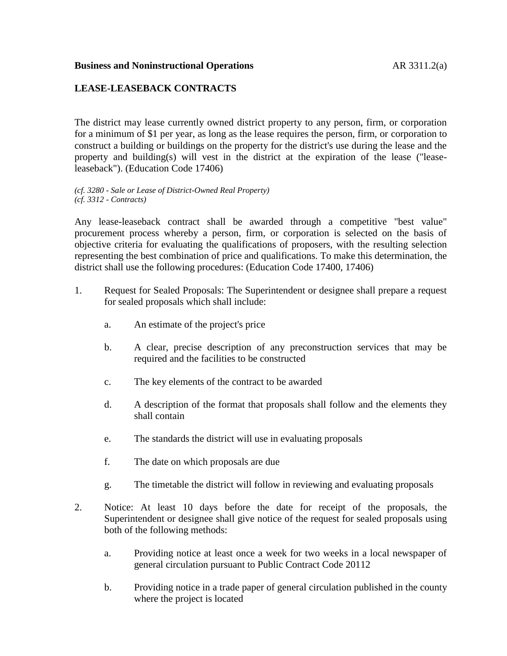## **LEASE-LEASEBACK CONTRACTS**

The district may lease currently owned district property to any person, firm, or corporation for a minimum of \$1 per year, as long as the lease requires the person, firm, or corporation to construct a building or buildings on the property for the district's use during the lease and the property and building(s) will vest in the district at the expiration of the lease ("leaseleaseback"). (Education Code 17406)

*(cf. 3280 - Sale or Lease of District-Owned Real Property) (cf. 3312 - Contracts)*

Any lease-leaseback contract shall be awarded through a competitive "best value" procurement process whereby a person, firm, or corporation is selected on the basis of objective criteria for evaluating the qualifications of proposers, with the resulting selection representing the best combination of price and qualifications. To make this determination, the district shall use the following procedures: (Education Code 17400, 17406)

- 1. Request for Sealed Proposals: The Superintendent or designee shall prepare a request for sealed proposals which shall include:
	- a. An estimate of the project's price
	- b. A clear, precise description of any preconstruction services that may be required and the facilities to be constructed
	- c. The key elements of the contract to be awarded
	- d. A description of the format that proposals shall follow and the elements they shall contain
	- e. The standards the district will use in evaluating proposals
	- f. The date on which proposals are due
	- g. The timetable the district will follow in reviewing and evaluating proposals
- 2. Notice: At least 10 days before the date for receipt of the proposals, the Superintendent or designee shall give notice of the request for sealed proposals using both of the following methods:
	- a. Providing notice at least once a week for two weeks in a local newspaper of general circulation pursuant to Public Contract Code 20112
	- b. Providing notice in a trade paper of general circulation published in the county where the project is located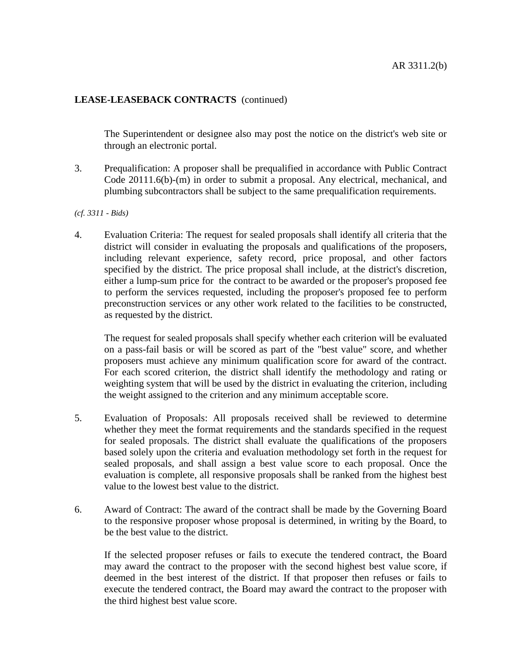## **LEASE-LEASEBACK CONTRACTS** (continued)

The Superintendent or designee also may post the notice on the district's web site or through an electronic portal.

3. Prequalification: A proposer shall be prequalified in accordance with Public Contract Code 20111.6(b)-(m) in order to submit a proposal. Any electrical, mechanical, and plumbing subcontractors shall be subject to the same prequalification requirements.

## *(cf. 3311 - Bids)*

4. Evaluation Criteria: The request for sealed proposals shall identify all criteria that the district will consider in evaluating the proposals and qualifications of the proposers, including relevant experience, safety record, price proposal, and other factors specified by the district. The price proposal shall include, at the district's discretion, either a lump-sum price for the contract to be awarded or the proposer's proposed fee to perform the services requested, including the proposer's proposed fee to perform preconstruction services or any other work related to the facilities to be constructed, as requested by the district.

The request for sealed proposals shall specify whether each criterion will be evaluated on a pass-fail basis or will be scored as part of the "best value" score, and whether proposers must achieve any minimum qualification score for award of the contract. For each scored criterion, the district shall identify the methodology and rating or weighting system that will be used by the district in evaluating the criterion, including the weight assigned to the criterion and any minimum acceptable score.

- 5. Evaluation of Proposals: All proposals received shall be reviewed to determine whether they meet the format requirements and the standards specified in the request for sealed proposals. The district shall evaluate the qualifications of the proposers based solely upon the criteria and evaluation methodology set forth in the request for sealed proposals, and shall assign a best value score to each proposal. Once the evaluation is complete, all responsive proposals shall be ranked from the highest best value to the lowest best value to the district.
- 6. Award of Contract: The award of the contract shall be made by the Governing Board to the responsive proposer whose proposal is determined, in writing by the Board, to be the best value to the district.

If the selected proposer refuses or fails to execute the tendered contract, the Board may award the contract to the proposer with the second highest best value score, if deemed in the best interest of the district. If that proposer then refuses or fails to execute the tendered contract, the Board may award the contract to the proposer with the third highest best value score.